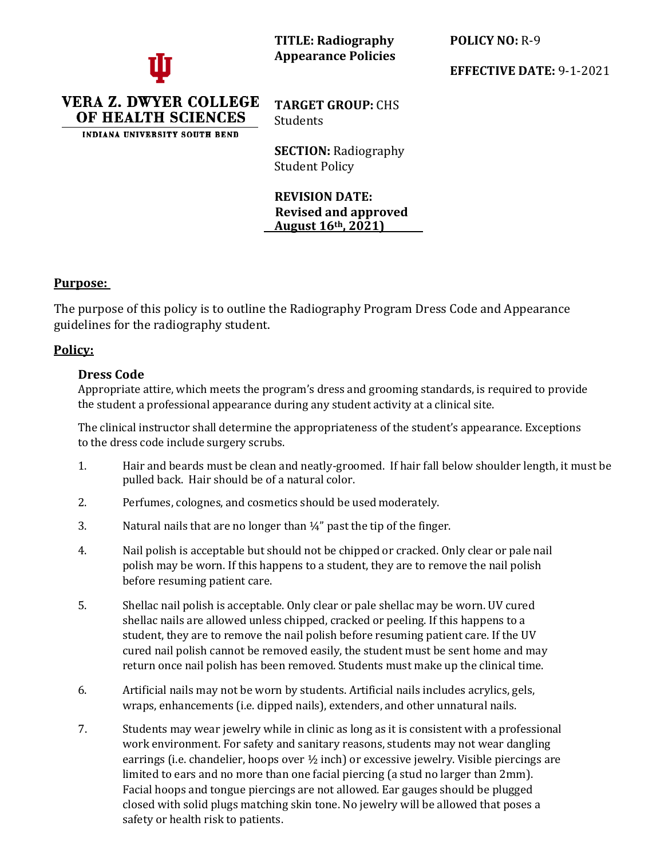

**TITLE: Radiography Appearance Policies** **POLICY NO:** R-9

**EFFECTIVE DATE:** 9-1-2021

VERA Z. DWYER COLLEGE OF HEALTH SCIENCES

INDIANA UNIVERSITY SOUTH BEND

**TARGET GROUP:** CHS Students

**SECTION:** Radiography Student Policy

**REVISION DATE: Revised and approved August 16th, 2021)**

## **Purpose:**

The purpose of this policy is to outline the Radiography Program Dress Code and Appearance guidelines for the radiography student.

## **Policy:**

## **Dress Code**

Appropriate attire, which meets the program's dress and grooming standards, is required to provide the student a professional appearance during any student activity at a clinical site.

The clinical instructor shall determine the appropriateness of the student's appearance. Exceptions to the dress code include surgery scrubs.

- 1. Hair and beards must be clean and neatly-groomed. If hair fall below shoulder length, it must be pulled back. Hair should be of a natural color.
- 2. Perfumes, colognes, and cosmetics should be used moderately.
- 3. Natural nails that are no longer than  $\frac{1}{4}$ " past the tip of the finger.
- 4. Nail polish is acceptable but should not be chipped or cracked. Only clear or pale nail polish may be worn. If this happens to a student, they are to remove the nail polish before resuming patient care.
- 5. Shellac nail polish is acceptable. Only clear or pale shellac may be worn. UV cured shellac nails are allowed unless chipped, cracked or peeling. If this happens to a student, they are to remove the nail polish before resuming patient care. If the UV cured nail polish cannot be removed easily, the student must be sent home and may return once nail polish has been removed. Students must make up the clinical time.
- 6. Artificial nails may not be worn by students. Artificial nails includes acrylics, gels, wraps, enhancements (i.e. dipped nails), extenders, and other unnatural nails.
- 7. Students may wear jewelry while in clinic as long as it is consistent with a professional work environment. For safety and sanitary reasons, students may not wear dangling earrings (i.e. chandelier, hoops over  $\frac{1}{2}$  inch) or excessive jewelry. Visible piercings are limited to ears and no more than one facial piercing (a stud no larger than 2mm). Facial hoops and tongue piercings are not allowed. Ear gauges should be plugged closed with solid plugs matching skin tone. No jewelry will be allowed that poses a safety or health risk to patients.